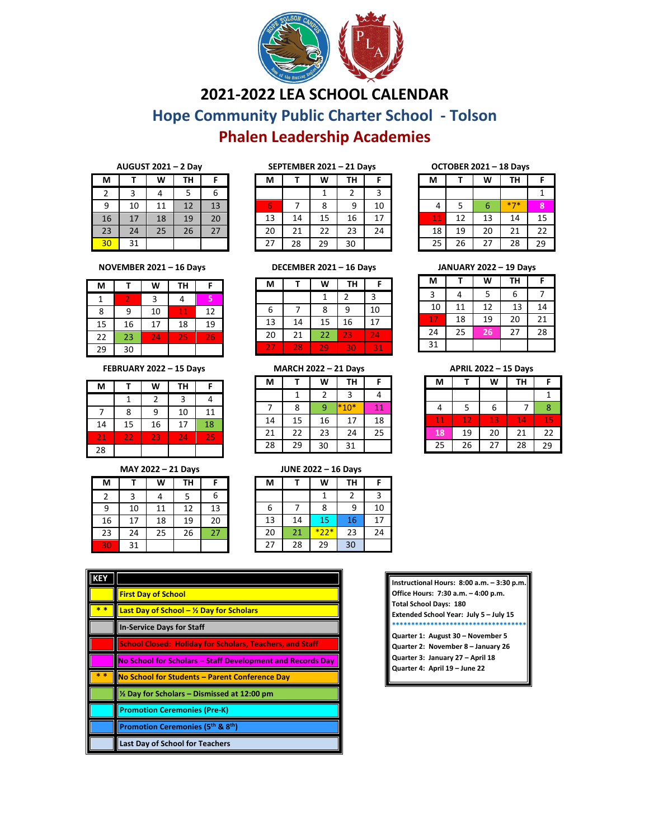

# **2021-2022 LEA SCHOOL CALENDAR**

**Hope Community Public Charter School - Tolson**

## **Phalen Leadership Academies**

| AUGUST $2021 - 2$ Day | SEPTEMBER 2021 - 21 Days | <b>OCTOBER 2021-18D</b> |
|-----------------------|--------------------------|-------------------------|
|                       |                          |                         |

| M  |    | W  | TH |    |
|----|----|----|----|----|
| 2  | 3  | 4  | 5  | 6  |
| 9  | 10 | 11 | 12 | 13 |
| 16 | 17 | 18 | 19 | 20 |
| 23 | 24 | 25 | 26 | 27 |
| 30 | 31 |    |    |    |

| SLF I LIVIDLN 2021 – 21 DAVS |    |    |                |    |
|------------------------------|----|----|----------------|----|
| M                            |    | W  | <b>TH</b>      | F  |
|                              |    |    | $\overline{2}$ | 3  |
| 6                            |    | 8  | 9              | 10 |
| 13                           | 14 | 15 | 16             | 17 |
| 20                           | 21 | 22 | 23             | 24 |
| 27                           | 28 | 29 | 30             |    |

| OCTOBER ZUZI – 18 DAVS |    |    |       |    |  |  |
|------------------------|----|----|-------|----|--|--|
| M                      |    | W  | TΗ    | F  |  |  |
|                        |    |    |       |    |  |  |
| 4                      | 5  | 6  | $*7*$ | 8  |  |  |
| 11                     | 12 | 13 | 14    | 15 |  |  |
| 18                     | 19 | 20 | 21    | 22 |  |  |
| 25                     | 26 | 27 | 28    | 29 |  |  |

| <b>DECEMBER 2021 - 16 Days</b><br>NOVEMBER $2021 - 16$ Days |
|-------------------------------------------------------------|
|-------------------------------------------------------------|

| M  |    | W  | TH        | F  |
|----|----|----|-----------|----|
|    |    | 3  | 4         | 5  |
| 8  | 9  | 10 | $\bf{11}$ | 12 |
| 15 | 16 | 17 | 18        | 19 |
| 22 | 23 | 24 | 25        | 26 |
| 29 | 30 |    |           |    |

#### **FEBRUARY 2022 – 15 Days MARCH 2022 – 21 Days APRIL 2022 – 15 Days**

| M  |    | W  | <b>TH</b> | F  |
|----|----|----|-----------|----|
|    |    | 2  | 3         |    |
|    | 8  | 9  | 10        | 11 |
| 14 | 15 | 16 | 17        | 18 |
| 21 | 22 | 23 | 24        | 25 |
| 28 |    |    |           |    |

| <br>---- |    |    |    |    |  |
|----------|----|----|----|----|--|
| M        |    | W  | TH | F  |  |
| 2        | 3  | 4  | 5  | 6  |  |
| 9        | 10 | 11 | 12 | 13 |  |
| 16       | 17 | 18 | 19 | 20 |  |
| 23       | 24 | 25 | 26 | 27 |  |
| 30       | 31 |    |    |    |  |

| M  |    | W  | <b>TH</b> |    |  |  |
|----|----|----|-----------|----|--|--|
|    |    |    |           |    |  |  |
| 6  |    | 8  | ٩         | 10 |  |  |
| 13 | 14 | 15 | 16        | 17 |  |  |

### 13 14 15 16 17 20 21 22 23 24 27 28 29 30 31

| IVIAKCH ZUZZ – ZI DAVS |    |    |        |    |  |
|------------------------|----|----|--------|----|--|
| М                      |    | W  | TН     | F  |  |
|                        | 1  | 2  | 3      |    |  |
|                        | 8  | 9  | $*10*$ | 11 |  |
| 14                     | 15 | 16 | 17     | 18 |  |
| 21                     | 22 | 23 | 24     | 25 |  |
| 28                     | 29 | 30 | 31     |    |  |

| M  |    | W  | <b>TH</b> | F  |
|----|----|----|-----------|----|
| 3  | 4  | 5  | 6         |    |
| 10 | 11 | 12 | 13        | 14 |
| 17 | 18 | 19 | 20        | 21 |
| 24 | 25 | 26 | 27        | 28 |
| 31 |    |    |           |    |

| <b>APRIL 2022 - 15 Days</b> |    |    |    |    |  |  |
|-----------------------------|----|----|----|----|--|--|
| M                           |    | W  | TН | F  |  |  |
|                             |    |    |    |    |  |  |
|                             | 5  | 6  |    | 8  |  |  |
| 11                          | 12 | 13 | 14 | 15 |  |  |
| 18                          | 19 | 20 | 21 | 22 |  |  |
| 25                          | 26 | 27 | 28 | 29 |  |  |

### **MAY 2022 – 21 Days JUNE 2022 – 16 Days**

| М  |    | W      | TΗ |    |
|----|----|--------|----|----|
|    |    |        | 2  | 3  |
| 6  |    | 8      | 9  | 10 |
| 13 | 14 | 15     | 16 | 17 |
| 20 | 21 | $*22*$ | 23 | 24 |
| 27 | 28 | 29     | 30 |    |

| <b>KEY</b> |                                                                       |
|------------|-----------------------------------------------------------------------|
|            | <b>First Day of School</b>                                            |
| $* *$      | <b>Last Day of School - <math>\frac{1}{2}</math> Day for Scholars</b> |
|            | <b>In-Service Days for Staff</b>                                      |
|            | <b>School Closed: Holiday for Scholars, Teachers, and Staff</b>       |
|            | No School for Scholars – Staff Development and Records Day            |
| $* *$      | No School for Students - Parent Conference Day                        |
|            | $\frac{1}{2}$ Day for Scholars – Dismissed at 12:00 pm                |
|            | <b>Promotion Ceremonies (Pre-K)</b>                                   |
|            | Promotion Ceremonies (5 <sup>th</sup> & 8 <sup>th</sup> )             |
|            | <b>Last Day of School for Teachers</b>                                |

| Instructional Hours: 8:00 a.m. - 3:30 p.m. |  |  |  |  |
|--------------------------------------------|--|--|--|--|
| Office Hours: 7:30 a.m. - 4:00 p.m.        |  |  |  |  |
| <b>Total School Days: 180</b>              |  |  |  |  |
| Extended School Year: July 5 - July 15     |  |  |  |  |
| ************************************       |  |  |  |  |
| Quarter 1: August 30 - November 5          |  |  |  |  |
| Quarter 2: November 8 - January 26         |  |  |  |  |
| Quarter 3: January 27 - April 18           |  |  |  |  |
| Quarter 4: April 19 - June 22              |  |  |  |  |